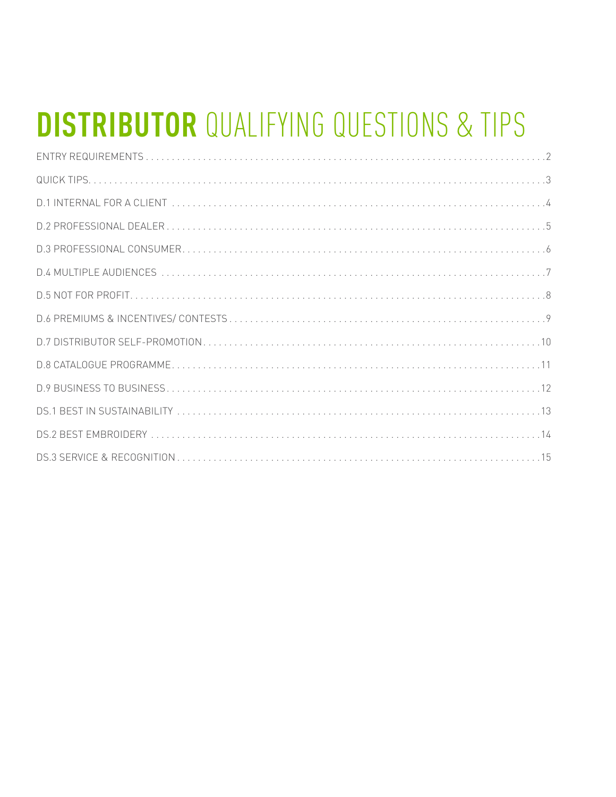### **DISTRIBUTOR QUALIFYING QUESTIONS & TIPS**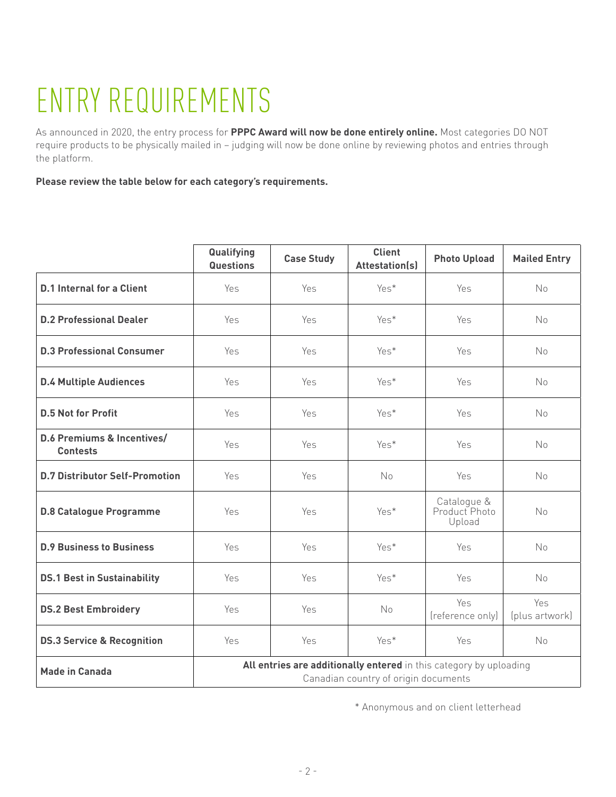### ENTRY REQUIREMENTS

As announced in 2020, the entry process for **PPPC Award will now be done entirely online.** Most categories DO NOT require products to be physically mailed in – judging will now be done online by reviewing photos and entries through the platform.

**Please review the table below for each category's requirements.**

|                                               | Qualifying<br><b>Questions</b>                                                                             | <b>Case Study</b> | <b>Client</b><br><b>Attestation(s)</b> | <b>Photo Upload</b>                    | <b>Mailed Entry</b>   |
|-----------------------------------------------|------------------------------------------------------------------------------------------------------------|-------------------|----------------------------------------|----------------------------------------|-----------------------|
| <b>D.1 Internal for a Client</b>              | Yes                                                                                                        | Yes               | Yes*                                   | Yes                                    | No                    |
| <b>D.2 Professional Dealer</b>                | Yes                                                                                                        | Yes               | Yes*                                   | Yes                                    | No                    |
| <b>D.3 Professional Consumer</b>              | Yes                                                                                                        | Yes               | Yes*                                   | Yes                                    | N <sub>o</sub>        |
| <b>D.4 Multiple Audiences</b>                 | Yes                                                                                                        | <b>Yes</b>        | Yes*                                   | Yes                                    | N <sub>o</sub>        |
| <b>D.5 Not for Profit</b>                     | Yes                                                                                                        | Yes               | Yes*                                   | Yes                                    | No                    |
| D.6 Premiums & Incentives/<br><b>Contests</b> | Yes                                                                                                        | Yes               | Yes*                                   | Yes                                    | No                    |
| <b>D.7 Distributor Self-Promotion</b>         | Yes                                                                                                        | Yes               | N <sub>o</sub>                         | Yes                                    | N <sub>o</sub>        |
| <b>D.8 Catalogue Programme</b>                | Yes                                                                                                        | Yes               | Yes*                                   | Catalogue &<br>Product Photo<br>Upload | No                    |
| <b>D.9 Business to Business</b>               | <b>Yes</b>                                                                                                 | Yes               | Yes*                                   | Yes                                    | N <sub>o</sub>        |
| <b>DS.1 Best in Sustainability</b>            | Yes                                                                                                        | Yes               | Yes*                                   | Yes                                    | N <sub>o</sub>        |
| <b>DS.2 Best Embroidery</b>                   | Yes                                                                                                        | Yes               | No                                     | Yes<br>(reference only)                | Yes<br>(plus artwork) |
| <b>DS.3 Service &amp; Recognition</b>         | Yes                                                                                                        | Yes               | Yes*                                   | Yes                                    | No                    |
| <b>Made in Canada</b>                         | All entries are additionally entered in this category by uploading<br>Canadian country of origin documents |                   |                                        |                                        |                       |

\* Anonymous and on client letterhead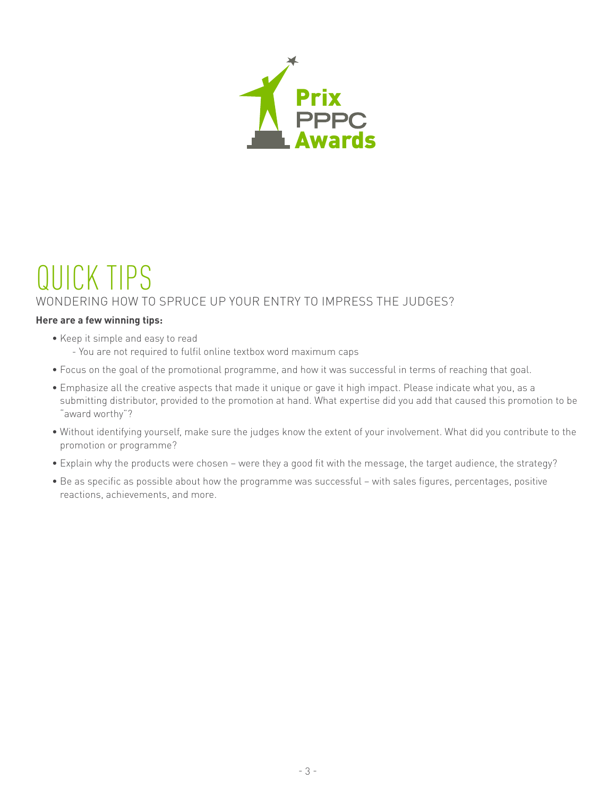

### QUICK TIPS WONDERING HOW TO SPRUCE UP YOUR ENTRY TO IMPRESS THE JUDGES?

#### **Here are a few winning tips:**

- Keep it simple and easy to read
	- You are not required to fulfil online textbox word maximum caps
- Focus on the goal of the promotional programme, and how it was successful in terms of reaching that goal.
- Emphasize all the creative aspects that made it unique or gave it high impact. Please indicate what you, as a submitting distributor, provided to the promotion at hand. What expertise did you add that caused this promotion to be "award worthy"?
- Without identifying yourself, make sure the judges know the extent of your involvement. What did you contribute to the promotion or programme?
- Explain why the products were chosen were they a good fit with the message, the target audience, the strategy?
- Be as specific as possible about how the programme was successful with sales figures, percentages, positive reactions, achievements, and more.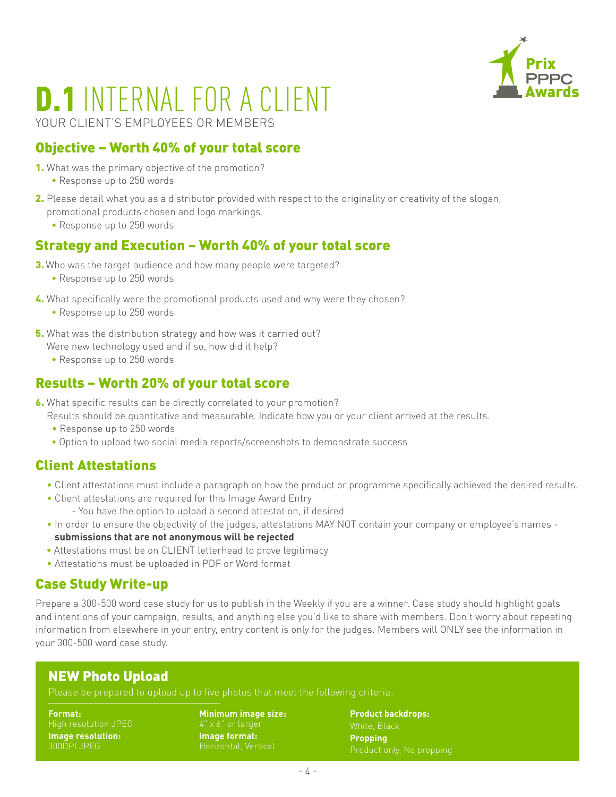

# D.1 INTERNAL FOR A CLIENT

YOUR CLIENT'S EMPLOYEES OR MEMBERS

### Objective – Worth 40% of your total score

- 1. What was the primary objective of the promotion?
	- Response up to 250 words
- 2. Please detail what you as a distributor provided with respect to the originality or creativity of the slogan, promotional products chosen and logo markings.
	- Response up to 250 words

### Strategy and Execution – Worth 40% of your total score

- **3.** Who was the target audience and how many people were targeted? • Response up to 250 words
- 4. What specifically were the promotional products used and why were they chosen? • Response up to 250 words
- **5.** What was the distribution strategy and how was it carried out?
	- Were new technology used and if so, how did it help?
	- Response up to 250 words

#### Results – Worth 20% of your total score

- 6. What specific results can be directly correlated to your promotion?
	- Results should be quantitative and measurable. Indicate how you or your client arrived at the results.
	- Response up to 250 words
	- Option to upload two social media reports/screenshots to demonstrate success

#### Client Attestations

- Client attestations must include a paragraph on how the product or programme specifically achieved the desired results.
- Client attestations are required for this Image Award Entry - You have the option to upload a second attestation, if desired
- In order to ensure the objectivity of the judges, attestations MAY NOT contain your company or employee's names **submissions that are not anonymous will be rejected**
- Attestations must be on CLIENT letterhead to prove legitimacy
- Attestations must be uploaded in PDF or Word format

### Case Study Write-up

Prepare a 300-500 word case study for us to publish in the Weekly if you are a winner. Case study should highlight goals and intentions of your campaign, results, and anything else you'd like to share with members. Don't worry about repeating information from elsewhere in your entry, entry content is only for the judges. Members will ONLY see the information in your 300-500 word case study.

### NEW Photo Upload

**Format:**  High resolution JPEG **Image resolution:**  300DPI JPEG

**Minimum image size: Image format:** Horizontal, Vertical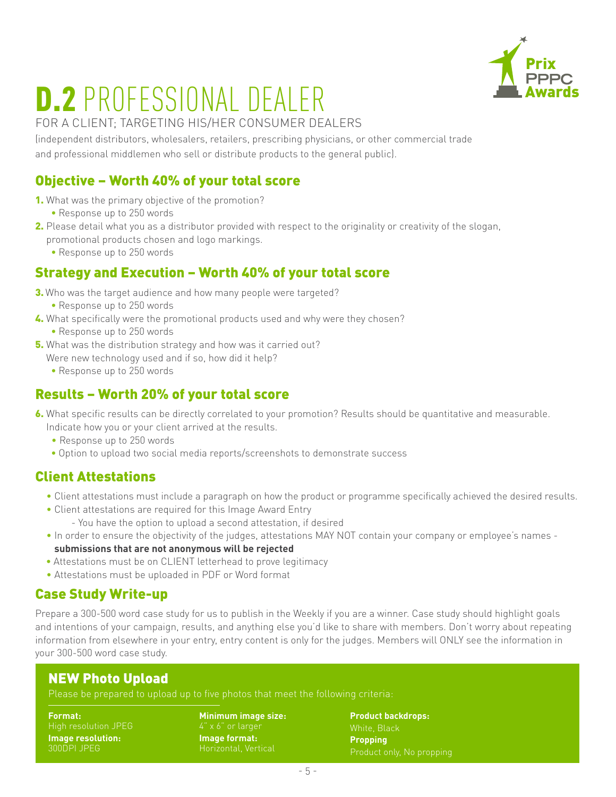

# D.2 PROFESSIONAL DEALER

FOR A CLIENT; TARGETING HIS/HER CONSUMER DEALERS

(independent distributors, wholesalers, retailers, prescribing physicians, or other commercial trade and professional middlemen who sell or distribute products to the general public).

#### Objective – Worth 40% of your total score

- 1. What was the primary objective of the promotion?
	- Response up to 250 words
- 2. Please detail what you as a distributor provided with respect to the originality or creativity of the slogan, promotional products chosen and logo markings.
	- Response up to 250 words

#### Strategy and Execution – Worth 40% of your total score

- **3.** Who was the target audience and how many people were targeted?
	- Response up to 250 words
- 4. What specifically were the promotional products used and why were they chosen? • Response up to 250 words
- **5.** What was the distribution strategy and how was it carried out? Were new technology used and if so, how did it help?
	- Response up to 250 words

#### Results – Worth 20% of your total score

- 6. What specific results can be directly correlated to your promotion? Results should be quantitative and measurable.
	- Indicate how you or your client arrived at the results.
	- Response up to 250 words
	- Option to upload two social media reports/screenshots to demonstrate success

#### Client Attestations

- Client attestations must include a paragraph on how the product or programme specifically achieved the desired results.
- Client attestations are required for this Image Award Entry
	- You have the option to upload a second attestation, if desired
- In order to ensure the objectivity of the judges, attestations MAY NOT contain your company or employee's names **submissions that are not anonymous will be rejected**
- Attestations must be on CLIENT letterhead to prove legitimacy
- Attestations must be uploaded in PDF or Word format

#### Case Study Write-up

Prepare a 300-500 word case study for us to publish in the Weekly if you are a winner. Case study should highlight goals and intentions of your campaign, results, and anything else you'd like to share with members. Don't worry about repeating information from elsewhere in your entry, entry content is only for the judges. Members will ONLY see the information in your 300-500 word case study.

#### NEW Photo Upload

Please be prepared to upload up to five photos that meet the following criteria:

**Format:**  High resolution JPEG **Image resolution:**  300DPI JPEG

**Minimum image size:** 4" x 6" or larger **Image format:**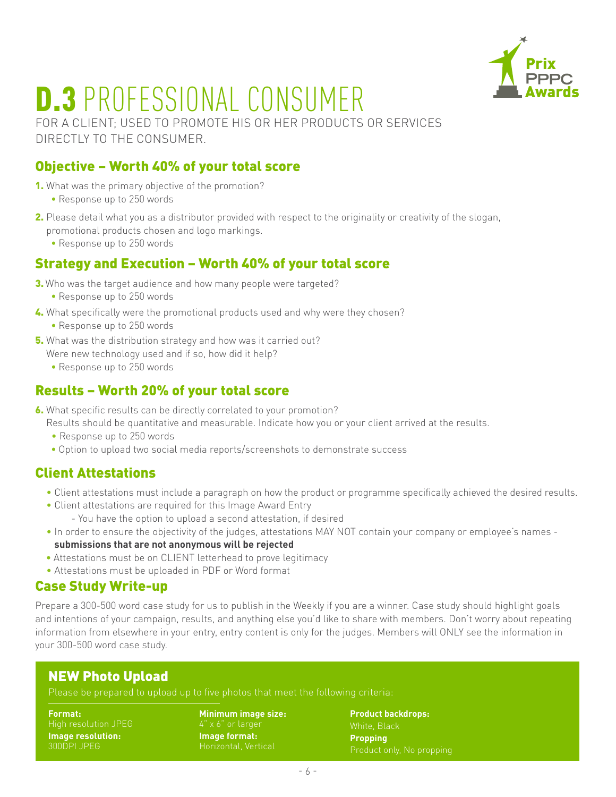

### **D.3 PROFESSIONAL CONSUMER**

FOR A CLIENT; USED TO PROMOTE HIS OR HER PRODUCTS OR SERVICES DIRECTLY TO THE CONSUMER.

#### Objective – Worth 40% of your total score

- 1. What was the primary objective of the promotion? • Response up to 250 words
- 2. Please detail what you as a distributor provided with respect to the originality or creativity of the slogan, promotional products chosen and logo markings.
	- Response up to 250 words

#### Strategy and Execution – Worth 40% of your total score

- 3. Who was the target audience and how many people were targeted?
	- Response up to 250 words
- 4. What specifically were the promotional products used and why were they chosen? • Response up to 250 words
- **5.** What was the distribution strategy and how was it carried out?

Were new technology used and if so, how did it help?

• Response up to 250 words

#### Results – Worth 20% of your total score

6. What specific results can be directly correlated to your promotion?

Results should be quantitative and measurable. Indicate how you or your client arrived at the results.

- Response up to 250 words
- Option to upload two social media reports/screenshots to demonstrate success

#### Client Attestations

- Client attestations must include a paragraph on how the product or programme specifically achieved the desired results.
- Client attestations are required for this Image Award Entry
	- You have the option to upload a second attestation, if desired
- In order to ensure the objectivity of the judges, attestations MAY NOT contain your company or employee's names **submissions that are not anonymous will be rejected**
- Attestations must be on CLIENT letterhead to prove legitimacy
- Attestations must be uploaded in PDF or Word format

#### Case Study Write-up

Prepare a 300-500 word case study for us to publish in the Weekly if you are a winner. Case study should highlight goals and intentions of your campaign, results, and anything else you'd like to share with members. Don't worry about repeating information from elsewhere in your entry, entry content is only for the judges. Members will ONLY see the information in your 300-500 word case study.

#### NEW Photo Upload

**Format:**  High resolution JPEG **Image resolution:**  300DPI JPEG

**Minimum image size: Image format:** Horizontal, Vertical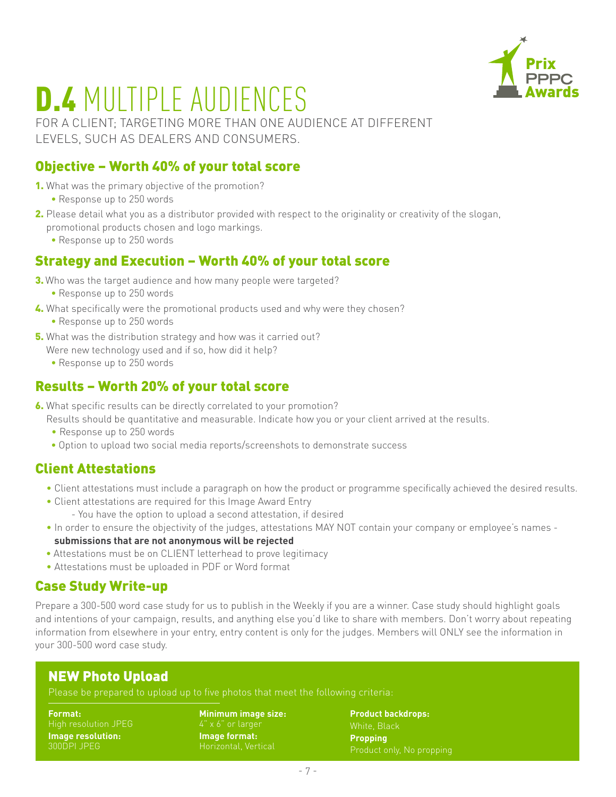

### D.4 MULTIPLE AUDIENCES

FOR A CLIENT; TARGETING MORE THAN ONE AUDIENCE AT DIFFERENT LEVELS, SUCH AS DEALERS AND CONSUMERS.

#### Objective – Worth 40% of your total score

- 1. What was the primary objective of the promotion? • Response up to 250 words
- 2. Please detail what you as a distributor provided with respect to the originality or creativity of the slogan, promotional products chosen and logo markings.
	- Response up to 250 words

#### Strategy and Execution – Worth 40% of your total score

- 3. Who was the target audience and how many people were targeted?
	- Response up to 250 words
- 4. What specifically were the promotional products used and why were they chosen?
	- Response up to 250 words
- **5.** What was the distribution strategy and how was it carried out?
	- Were new technology used and if so, how did it help?
		- Response up to 250 words

#### Results – Worth 20% of your total score

6. What specific results can be directly correlated to your promotion?

Results should be quantitative and measurable. Indicate how you or your client arrived at the results.

- Response up to 250 words
- Option to upload two social media reports/screenshots to demonstrate success

#### Client Attestations

- Client attestations must include a paragraph on how the product or programme specifically achieved the desired results.
- Client attestations are required for this Image Award Entry - You have the option to upload a second attestation, if desired
- In order to ensure the objectivity of the judges, attestations MAY NOT contain your company or employee's names **submissions that are not anonymous will be rejected**
- Attestations must be on CLIENT letterhead to prove legitimacy
- Attestations must be uploaded in PDF or Word format

#### Case Study Write-up

Prepare a 300-500 word case study for us to publish in the Weekly if you are a winner. Case study should highlight goals and intentions of your campaign, results, and anything else you'd like to share with members. Don't worry about repeating information from elsewhere in your entry, entry content is only for the judges. Members will ONLY see the information in your 300-500 word case study.

#### NEW Photo Upload

Please be prepared to upload up to five photos that meet the following criteria:

**Format:**  High resolution JPEG **Image resolution:**  300DPI JPEG

**Minimum image size: Image format:** Horizontal, Vertical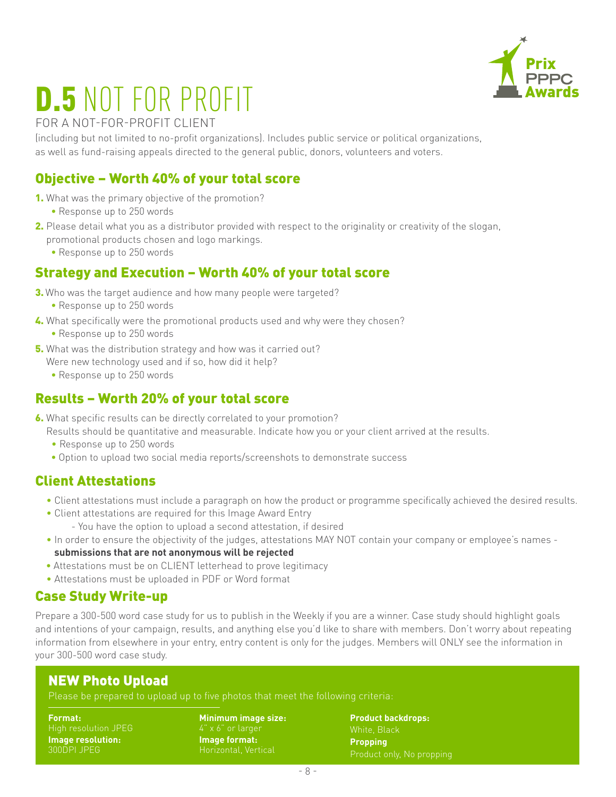

# D.5 NOT FOR PROFIT

FOR A NOT-FOR-PROFIT CLIENT

(including but not limited to no-profit organizations). Includes public service or political organizations, as well as fund-raising appeals directed to the general public, donors, volunteers and voters.

### Objective – Worth 40% of your total score

- 1. What was the primary objective of the promotion?
	- Response up to 250 words
- 2. Please detail what you as a distributor provided with respect to the originality or creativity of the slogan, promotional products chosen and logo markings.
	- Response up to 250 words

#### Strategy and Execution – Worth 40% of your total score

- **3.** Who was the target audience and how many people were targeted?
	- Response up to 250 words
- 4. What specifically were the promotional products used and why were they chosen?
	- Response up to 250 words
- 5. What was the distribution strategy and how was it carried out?
	- Were new technology used and if so, how did it help?
	- Response up to 250 words

#### Results – Worth 20% of your total score

- 6. What specific results can be directly correlated to your promotion?
	- Results should be quantitative and measurable. Indicate how you or your client arrived at the results.
	- Response up to 250 words
	- Option to upload two social media reports/screenshots to demonstrate success

#### Client Attestations

- Client attestations must include a paragraph on how the product or programme specifically achieved the desired results.
- Client attestations are required for this Image Award Entry - You have the option to upload a second attestation, if desired
- In order to ensure the objectivity of the judges, attestations MAY NOT contain your company or employee's names **submissions that are not anonymous will be rejected**
- Attestations must be on CLIENT letterhead to prove legitimacy
- Attestations must be uploaded in PDF or Word format

#### Case Study Write-up

Prepare a 300-500 word case study for us to publish in the Weekly if you are a winner. Case study should highlight goals and intentions of your campaign, results, and anything else you'd like to share with members. Don't worry about repeating information from elsewhere in your entry, entry content is only for the judges. Members will ONLY see the information in your 300-500 word case study.

### NEW Photo Upload

**Format:**  High resolution JPEG **Image resolution:**  300DPI JPEG

**Minimum image size:** 4" x 6" or larger **Image format:** Horizontal, Vertical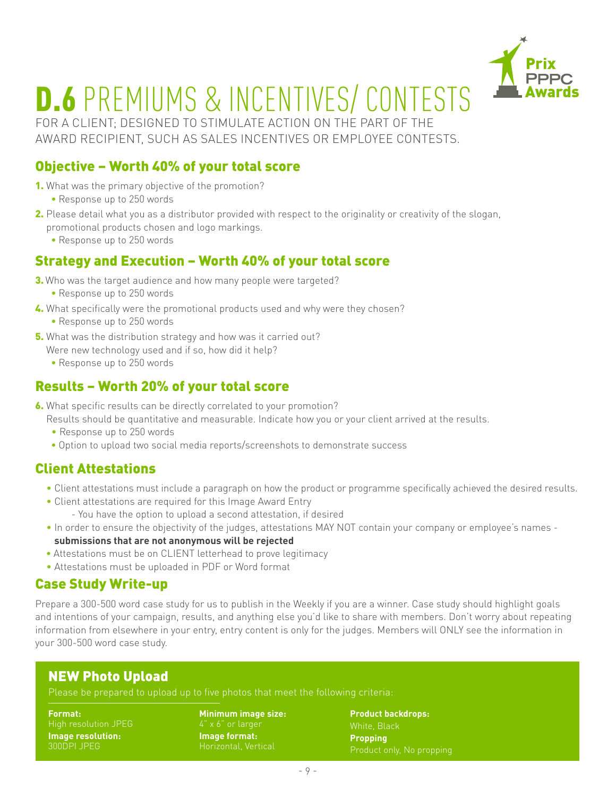

### D.6 PREMIUMS & INCENTIVES/ CONTESTS

FOR A CLIENT; DESIGNED TO STIMULATE ACTION ON THE PART OF THE AWARD RECIPIENT, SUCH AS SALES INCENTIVES OR EMPLOYEE CONTESTS.

#### Objective – Worth 40% of your total score

- 1. What was the primary objective of the promotion? • Response up to 250 words
- 2. Please detail what you as a distributor provided with respect to the originality or creativity of the slogan, promotional products chosen and logo markings.
	- Response up to 250 words

#### Strategy and Execution – Worth 40% of your total score

- 3. Who was the target audience and how many people were targeted?
	- Response up to 250 words
- 4. What specifically were the promotional products used and why were they chosen?
	- Response up to 250 words
- **5.** What was the distribution strategy and how was it carried out?
	- Were new technology used and if so, how did it help?
		- Response up to 250 words

#### Results – Worth 20% of your total score

6. What specific results can be directly correlated to your promotion?

Results should be quantitative and measurable. Indicate how you or your client arrived at the results.

- Response up to 250 words
- Option to upload two social media reports/screenshots to demonstrate success

#### Client Attestations

- Client attestations must include a paragraph on how the product or programme specifically achieved the desired results.
- Client attestations are required for this Image Award Entry - You have the option to upload a second attestation, if desired
- In order to ensure the objectivity of the judges, attestations MAY NOT contain your company or employee's names **submissions that are not anonymous will be rejected**
- Attestations must be on CLIENT letterhead to prove legitimacy
- Attestations must be uploaded in PDF or Word format

#### Case Study Write-up

Prepare a 300-500 word case study for us to publish in the Weekly if you are a winner. Case study should highlight goals and intentions of your campaign, results, and anything else you'd like to share with members. Don't worry about repeating information from elsewhere in your entry, entry content is only for the judges. Members will ONLY see the information in your 300-500 word case study.

### NEW Photo Upload

**Format:**  High resolution JPEG **Image resolution:**  300DPI JPEG

**Minimum image size: Image format:** Horizontal, Vertical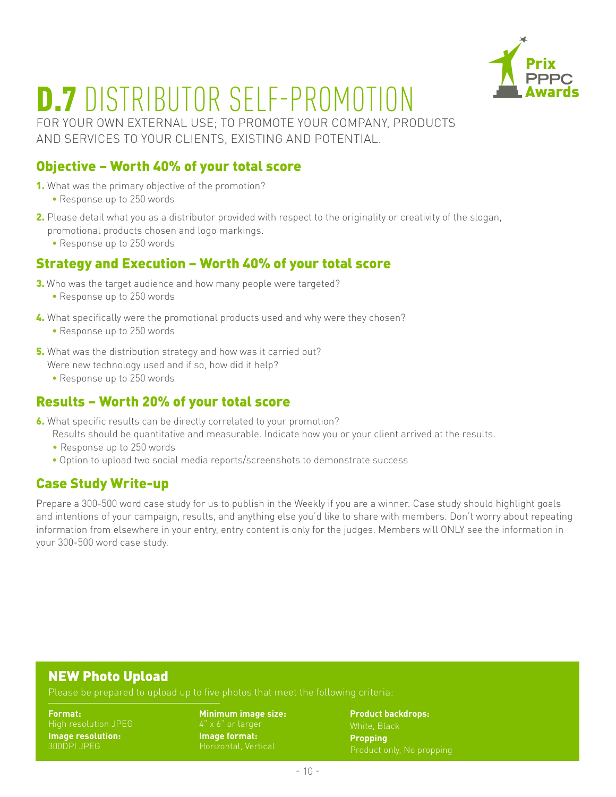

## D.7 DISTRIBUTOR SELF-PROMOTION

FOR YOUR OWN EXTERNAL USE; TO PROMOTE YOUR COMPANY, PRODUCTS AND SERVICES TO YOUR CLIENTS, EXISTING AND POTENTIAL.

#### Objective – Worth 40% of your total score

- 1. What was the primary objective of the promotion? • Response up to 250 words
- 2. Please detail what you as a distributor provided with respect to the originality or creativity of the slogan, promotional products chosen and logo markings.
	- Response up to 250 words

#### Strategy and Execution – Worth 40% of your total score

- **3.** Who was the target audience and how many people were targeted?
	- Response up to 250 words
- 4. What specifically were the promotional products used and why were they chosen? • Response up to 250 words
- **5.** What was the distribution strategy and how was it carried out?
	- Were new technology used and if so, how did it help?
	- Response up to 250 words

#### Results – Worth 20% of your total score

- 6. What specific results can be directly correlated to your promotion?
	- Results should be quantitative and measurable. Indicate how you or your client arrived at the results.
	- Response up to 250 words
	- Option to upload two social media reports/screenshots to demonstrate success

### Case Study Write-up

Prepare a 300-500 word case study for us to publish in the Weekly if you are a winner. Case study should highlight goals and intentions of your campaign, results, and anything else you'd like to share with members. Don't worry about repeating information from elsewhere in your entry, entry content is only for the judges. Members will ONLY see the information in your 300-500 word case study.

### NEW Photo Upload

**Format:**  High resolution JPEG **Image resolution:**  300DPI JPEG

**Minimum image size: Image format:** Horizontal, Vertical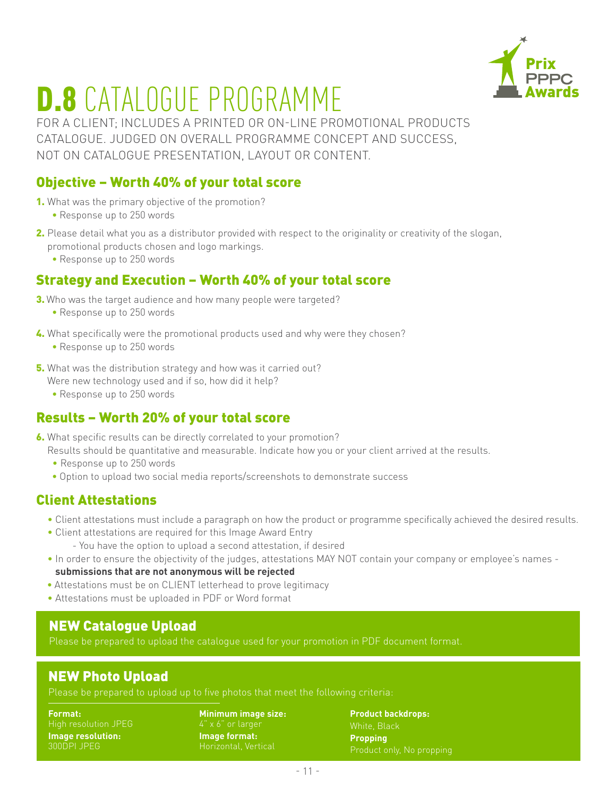

### **D.8** CATALOGUE PROGRAMME

FOR A CLIENT; INCLUDES A PRINTED OR ON-LINE PROMOTIONAL PRODUCTS CATALOGUE. JUDGED ON OVERALL PROGRAMME CONCEPT AND SUCCESS, NOT ON CATALOGUE PRESENTATION, LAYOUT OR CONTENT.

#### Objective – Worth 40% of your total score

- 1. What was the primary objective of the promotion?
	- Response up to 250 words
- 2. Please detail what you as a distributor provided with respect to the originality or creativity of the slogan, promotional products chosen and logo markings.
	- Response up to 250 words

#### Strategy and Execution – Worth 40% of your total score

- **3.** Who was the target audience and how many people were targeted?
	- Response up to 250 words
- 4. What specifically were the promotional products used and why were they chosen?
	- Response up to 250 words
- **5.** What was the distribution strategy and how was it carried out?
	- Were new technology used and if so, how did it help?
	- Response up to 250 words

#### Results – Worth 20% of your total score

- 6. What specific results can be directly correlated to your promotion?
	- Results should be quantitative and measurable. Indicate how you or your client arrived at the results.
	- Response up to 250 words
	- Option to upload two social media reports/screenshots to demonstrate success

#### Client Attestations

- Client attestations must include a paragraph on how the product or programme specifically achieved the desired results.
- Client attestations are required for this Image Award Entry - You have the option to upload a second attestation, if desired
- In order to ensure the objectivity of the judges, attestations MAY NOT contain your company or employee's names **submissions that are not anonymous will be rejected**
- Attestations must be on CLIENT letterhead to prove legitimacy
- Attestations must be uploaded in PDF or Word format

#### NEW Catalogue Upload

#### NEW Photo Upload

**Format:**  High resolution JPEG **Image resolution:**  300DPI JPEG

**Minimum image size: Image format:** Horizontal, Vertical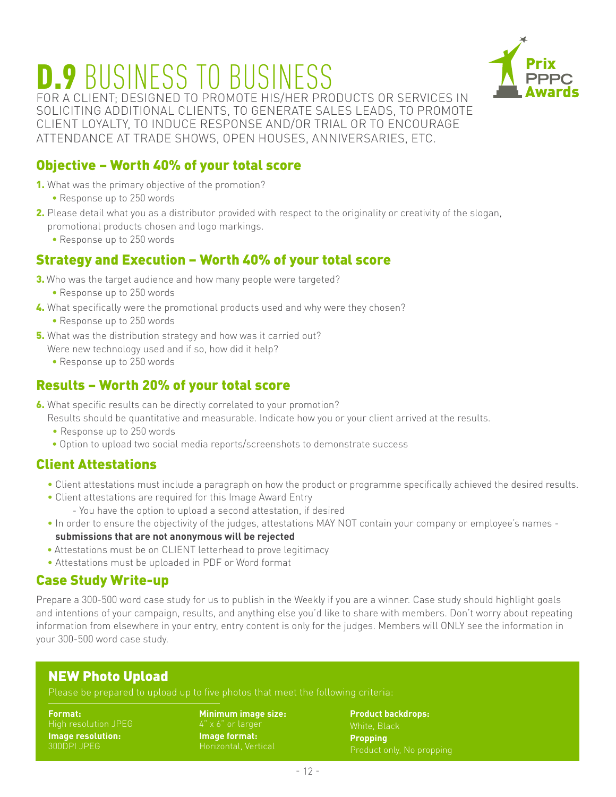## D.9 BUSINESS TO BUSINESS



FOR A CLIENT; DESIGNED TO PROMOTE HIS/HER PRODUCTS OR SERVICES IN SOLICITING ADDITIONAL CLIENTS, TO GENERATE SALES LEADS, TO PROMOTE CLIENT LOYALTY, TO INDUCE RESPONSE AND/OR TRIAL OR TO ENCOURAGE ATTENDANCE AT TRADE SHOWS, OPEN HOUSES, ANNIVERSARIES, ETC.

#### Objective – Worth 40% of your total score

- 1. What was the primary objective of the promotion? • Response up to 250 words
- 2. Please detail what you as a distributor provided with respect to the originality or creativity of the slogan, promotional products chosen and logo markings.
	- Response up to 250 words

#### Strategy and Execution – Worth 40% of your total score

- **3.** Who was the target audience and how many people were targeted?
	- Response up to 250 words
- 4. What specifically were the promotional products used and why were they chosen?
	- Response up to 250 words
- **5.** What was the distribution strategy and how was it carried out?
	- Were new technology used and if so, how did it help?
	- Response up to 250 words

#### Results – Worth 20% of your total score

- 6. What specific results can be directly correlated to your promotion?
	- Results should be quantitative and measurable. Indicate how you or your client arrived at the results.
	- Response up to 250 words
	- Option to upload two social media reports/screenshots to demonstrate success

#### Client Attestations

- Client attestations must include a paragraph on how the product or programme specifically achieved the desired results.
- Client attestations are required for this Image Award Entry - You have the option to upload a second attestation, if desired
- In order to ensure the objectivity of the judges, attestations MAY NOT contain your company or employee's names **submissions that are not anonymous will be rejected**
- Attestations must be on CLIENT letterhead to prove legitimacy
- Attestations must be uploaded in PDF or Word format

#### Case Study Write-up

Prepare a 300-500 word case study for us to publish in the Weekly if you are a winner. Case study should highlight goals and intentions of your campaign, results, and anything else you'd like to share with members. Don't worry about repeating information from elsewhere in your entry, entry content is only for the judges. Members will ONLY see the information in your 300-500 word case study.

### NEW Photo Upload

**Format:**  High resolution JPEG **Image resolution:**  300DPI JPEG

**Minimum image size: Image format:** Horizontal, Vertical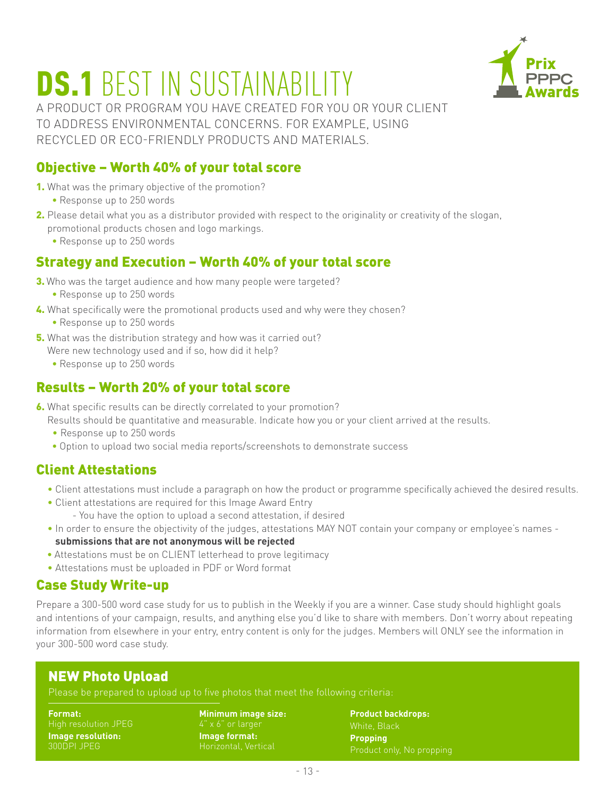# DS.1 BEST IN SUSTAINABILITY



A PRODUCT OR PROGRAM YOU HAVE CREATED FOR YOU OR YOUR CLIENT TO ADDRESS ENVIRONMENTAL CONCERNS. FOR EXAMPLE, USING RECYCLED OR ECO-FRIENDLY PRODUCTS AND MATERIALS.

#### Objective – Worth 40% of your total score

- **1.** What was the primary objective of the promotion?
	- Response up to 250 words
- 2. Please detail what you as a distributor provided with respect to the originality or creativity of the slogan, promotional products chosen and logo markings.
	- Response up to 250 words

#### Strategy and Execution – Worth 40% of your total score

- **3.** Who was the target audience and how many people were targeted?
	- Response up to 250 words
- 4. What specifically were the promotional products used and why were they chosen?
	- Response up to 250 words
- **5.** What was the distribution strategy and how was it carried out?
	- Were new technology used and if so, how did it help?
	- Response up to 250 words

#### Results – Worth 20% of your total score

6. What specific results can be directly correlated to your promotion?

Results should be quantitative and measurable. Indicate how you or your client arrived at the results.

- Response up to 250 words
- Option to upload two social media reports/screenshots to demonstrate success

#### Client Attestations

- Client attestations must include a paragraph on how the product or programme specifically achieved the desired results.
- Client attestations are required for this Image Award Entry
	- You have the option to upload a second attestation, if desired
- In order to ensure the objectivity of the judges, attestations MAY NOT contain your company or employee's names **submissions that are not anonymous will be rejected**
- Attestations must be on CLIENT letterhead to prove legitimacy
- Attestations must be uploaded in PDF or Word format

### Case Study Write-up

Prepare a 300-500 word case study for us to publish in the Weekly if you are a winner. Case study should highlight goals and intentions of your campaign, results, and anything else you'd like to share with members. Don't worry about repeating information from elsewhere in your entry, entry content is only for the judges. Members will ONLY see the information in your 300-500 word case study.

### NEW Photo Upload

**Format:**  High resolution JPEG **Image resolution:**  300DPI JPEG

**Minimum image size: Image format:** Horizontal, Vertical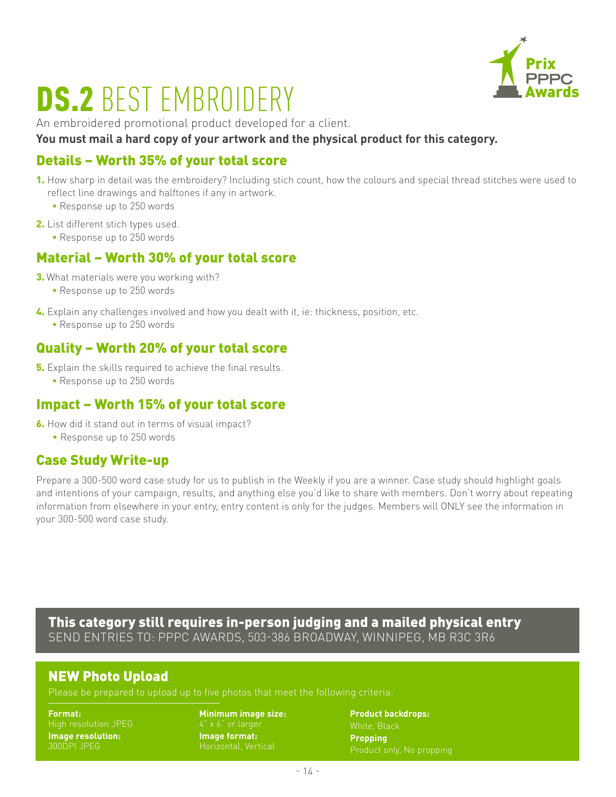

### DS.2 BEST EMBROIDERY

An embroidered promotional product developed for a client.

**You must mail a hard copy of your artwork and the physical product for this category.**

#### Details – Worth 35% of your total score

- 1. How sharp in detail was the embroidery? Including stich count, how the colours and special thread stitches were used to reflect line drawings and halftones if any in artwork.
	- Response up to 250 words
- 2. List different stich types used.
	- Response up to 250 words

#### Material – Worth 30% of your total score

- **3.** What materials were you working with?
	- Response up to 250 words
- 4. Explain any challenges involved and how you dealt with it, ie: thickness, position, etc.
	- Response up to 250 words

#### Quality – Worth 20% of your total score

- **5.** Explain the skills required to achieve the final results.
	- Response up to 250 words

#### Impact – Worth 15% of your total score

- 6. How did it stand out in terms of visual impact?
	- Response up to 250 words

### Case Study Write-up

Prepare a 300-500 word case study for us to publish in the Weekly if you are a winner. Case study should highlight goals and intentions of your campaign, results, and anything else you'd like to share with members. Don't worry about repeating information from elsewhere in your entry, entry content is only for the judges. Members will ONLY see the information in your 300-500 word case study.

This category still requires in-person judging and a mailed physical entry SEND ENTRIES TO: PPPC AWARDS, 503-386 BROADWAY, WINNIPEG, MB R3C 3R6

#### NEW Photo Upload

**Format:**  High resolution JPEG **Image resolution:**  300DPI JPEG

**Minimum image size: Image format:** Horizontal, Vertical